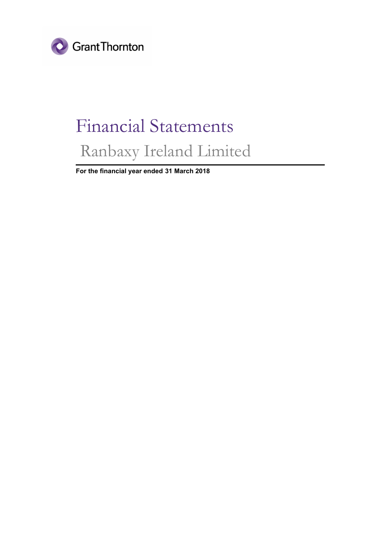

# Financial Statements Ranbaxy Ireland Limited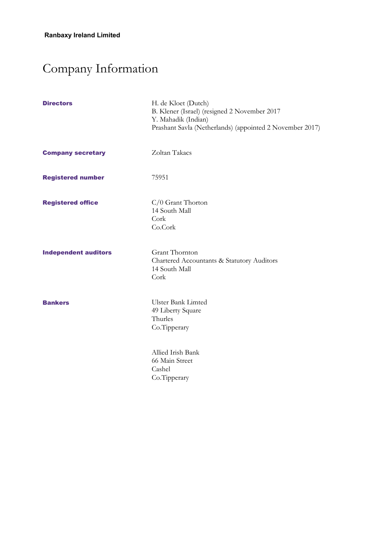## Company Information

| <b>Directors</b>            | H. de Kloet (Dutch)<br>B. Klener (Israel) (resigned 2 November 2017<br>Y. Mahadik (Indian)<br>Prashant Savla (Netherlands) (appointed 2 November 2017) |
|-----------------------------|--------------------------------------------------------------------------------------------------------------------------------------------------------|
| <b>Company secretary</b>    | Zoltan Takacs                                                                                                                                          |
| <b>Registered number</b>    | 75951                                                                                                                                                  |
| <b>Registered office</b>    | C/0 Grant Thorton<br>14 South Mall<br>Cork<br>Co.Cork                                                                                                  |
| <b>Independent auditors</b> | Grant Thornton<br>Chartered Accountants & Statutory Auditors<br>14 South Mall<br>Cork                                                                  |
| <b>Bankers</b>              | Ulster Bank Limted<br>49 Liberty Square<br>Thurles<br>Co.Tipperary                                                                                     |
|                             | Allied Irish Bank<br>66 Main Street<br>Cashel<br>Co.Tipperary                                                                                          |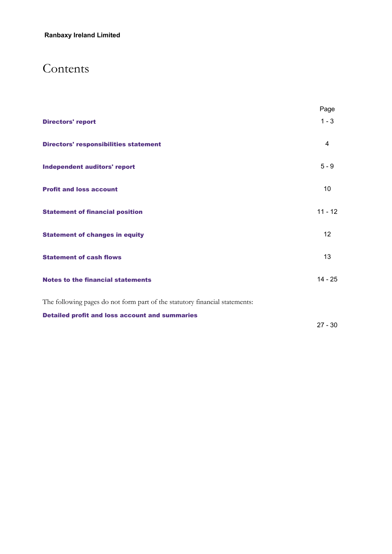## Contents

|                                                                             | Page      |
|-----------------------------------------------------------------------------|-----------|
| <b>Directors' report</b>                                                    | $1 - 3$   |
| <b>Directors' responsibilities statement</b>                                | 4         |
| <b>Independent auditors' report</b>                                         | $5 - 9$   |
| <b>Profit and loss account</b>                                              | 10        |
| <b>Statement of financial position</b>                                      | $11 - 12$ |
| <b>Statement of changes in equity</b>                                       | 12        |
| <b>Statement of cash flows</b>                                              | 13        |
| <b>Notes to the financial statements</b>                                    | $14 - 25$ |
| The following pages do not form part of the statutory financial statements: |           |
| <b>Detailed profit and loss account and summaries</b>                       |           |
|                                                                             | $27 - 30$ |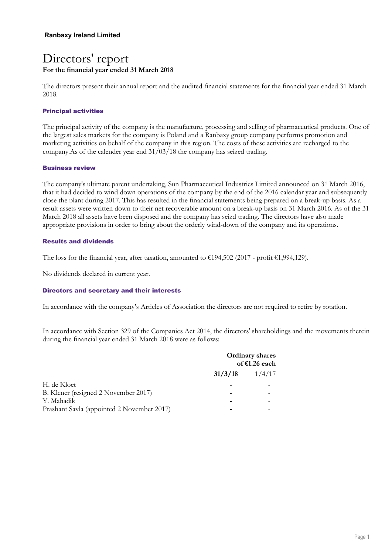### Directors' report **For the financial year ended 31 March 2018**

The directors present their annual report and the audited financial statements for the financial year ended 31 March 2018.

#### **Principal activities**

The principal activity of the company is the manufacture, processing and selling of pharmaceutical products. One of the largest sales markets for the company is Poland and a Ranbaxy group company performs promotion and marketing activities on behalf of the company in this region. The costs of these activities are recharged to the company.As of the calender year end 31/03/18 the company has seized trading.

#### **Business review**

The company's ultimate parent undertaking, Sun Pharmaceutical Industries Limited announced on 31 March 2016, that it had decided to wind down operations of the company by the end of the 2016 calendar year and subsequently close the plant during 2017. This has resulted in the financial statements being prepared on a break-up basis. As a result assets were written down to their net recoverable amount on a break-up basis on 31 March 2016. As of the 31 March 2018 all assets have been disposed and the company has seizd trading. The directors have also made appropriate provisions in order to bring about the orderly wind-down of the company and its operations.

#### **Results and dividends**

The loss for the financial year, after taxation, amounted to  $\epsilon$ 194,502 (2017 - profit  $\epsilon$ 1,994,129).

No dividends declared in current year.

#### **Directors and secretary and their interests**

In accordance with the company's Articles of Association the directors are not required to retire by rotation.

In accordance with Section 329 of the Companies Act 2014, the directors' shareholdings and the movements therein during the financial year ended 31 March 2018 were as follows:

|                                            | <b>Ordinary shares</b><br>of $£1.26$ each |        |
|--------------------------------------------|-------------------------------------------|--------|
|                                            | 31/3/18                                   | 1/4/17 |
| H. de Kloet                                |                                           |        |
| B. Klener (resigned 2 November 2017)       | $\overline{\phantom{0}}$                  |        |
| Y. Mahadik                                 |                                           |        |
| Prashant Savla (appointed 2 November 2017) |                                           |        |
|                                            |                                           |        |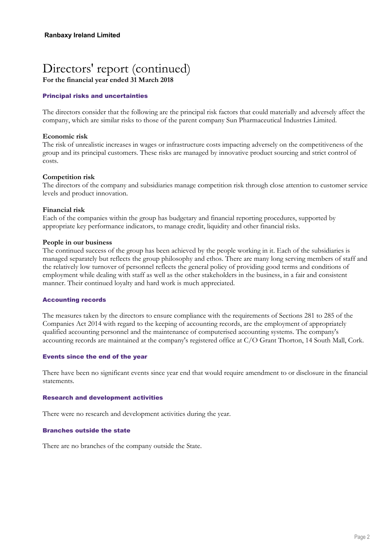## Directors' report (continued)

**For the financial year ended 31 March 2018**

#### **Principal risks and uncertainties**

The directors consider that the following are the principal risk factors that could materially and adversely affect the company, which are similar risks to those of the parent company Sun Pharmaceutical Industries Limited.

#### **Economic risk**

The risk of unrealistic increases in wages or infrastructure costs impacting adversely on the competitiveness of the group and its principal customers. These risks are managed by innovative product sourcing and strict control of costs.

#### **Competition risk**

The directors of the company and subsidiaries manage competition risk through close attention to customer service levels and product innovation.

#### **Financial risk**

Each of the companies within the group has budgetary and financial reporting procedures, supported by appropriate key performance indicators, to manage credit, liquidity and other financial risks.

#### **People in our business**

The continued success of the group has been achieved by the people working in it. Each of the subsidiaries is managed separately but reflects the group philosophy and ethos. There are many long serving members of staff and the relatively low turnover of personnel reflects the general policy of providing good terms and conditions of employment while dealing with staff as well as the other stakeholders in the business, in a fair and consistent manner. Their continued loyalty and hard work is much appreciated.

#### **Accounting records**

The measures taken by the directors to ensure compliance with the requirements of Sections 281 to 285 of the Companies Act 2014 with regard to the keeping of accounting records, are the employment of appropriately qualified accounting personnel and the maintenance of computerised accounting systems. The company's accounting records are maintained at the company's registered office at C/O Grant Thorton, 14 South Mall, Cork.

#### **Events since the end of the year**

There have been no significant events since year end that would require amendment to or disclosure in the financial statements.

#### **Research and development activities**

There were no research and development activities during the year.

#### **Branches outside the state**

There are no branches of the company outside the State.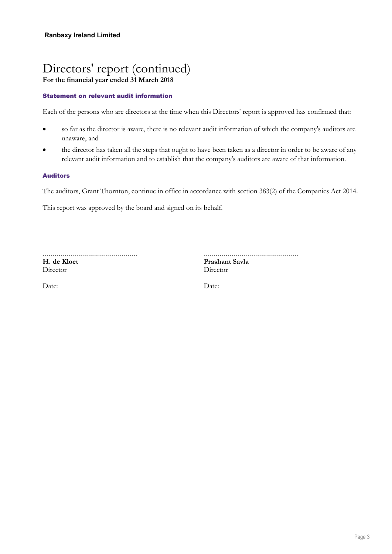### Directors' report (continued) **For the financial year ended 31 March 2018**

## **Statement on relevant audit information**

Each of the persons who are directors at the time when this Directors' report is approved has confirmed that:

- so far as the director is aware, there is no relevant audit information of which the company's auditors are unaware, and
- the director has taken all the steps that ought to have been taken as a director in order to be aware of any relevant audit information and to establish that the company's auditors are aware of that information.

#### **Auditors**

The auditors, Grant Thornton, continue in office in accordance with section 383(2) of the Companies Act 2014.

This report was approved by the board and signed on its behalf.

| H. de Kloet |  |
|-------------|--|
| Director    |  |

................................................ **Prashant Savla** Director

Date: Date: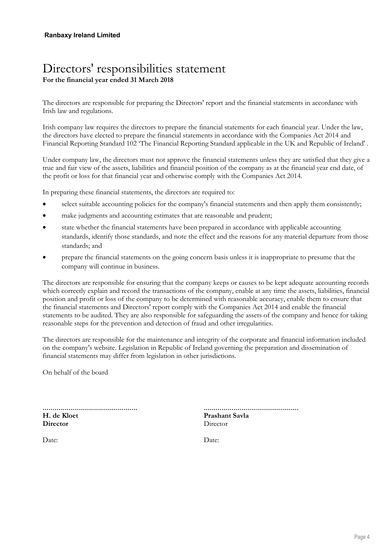### Directors' responsibilities statement **For the financial year ended 31 March 2018**

The directors are responsible for preparing the Directors' report and the financial statements in accordance with Irish law and regulations.

Irish company law requires the directors to prepare the financial statements for each financial year. Under the law, the directors have elected to prepare the financial statements in accordance with the Companies Act 2014 and Financial Reporting Standard 102 'The Financial Reporting Standard applicable in the UK and Republic of Ireland' .

Under company law, the directors must not approve the financial statements unless they are satisfied that they give a true and fair view of the assets, liabilities and financial position of the company as at the financial year end date, of the profit or loss for that financial year and otherwise comply with the Companies Act 2014.

In preparing these financial statements, the directors are required to:

- select suitable accounting policies for the company's financial statements and then apply them consistently;
- make judgments and accounting estimates that are reasonable and prudent;
- state whether the financial statements have been prepared in accordance with applicable accounting standards, identify those standards, and note the effect and the reasons for any material departure from those standards; and
- prepare the financial statements on the going concern basis unless it is inappropriate to presume that the company will continue in business.

The directors are responsible for ensuring that the company keeps or causes to be kept adequate accounting records which correctly explain and record the transactions of the company, enable at any time the assets, liabilities, financial position and profit or loss of the company to be determined with reasonable accuracy, enable them to ensure that the financial statements and Directors' report comply with the Companies Act 2014 and enable the financial statements to be audited. They are also responsible for safeguarding the assets of the company and hence for taking reasonable steps for the prevention and detection of fraud and other irregularities.

The directors are responsible for the maintenance and integrity of the corporate and financial information included on the company's website. Legislation in Republic of Ireland governing the preparation and dissemination of financial statements may differ from legislation in other jurisdictions.

On behalf of the board

................................................ **H. de Kloet Director**

| Prashant Sayla |  |  |
|----------------|--|--|
| Director       |  |  |

Date: Date: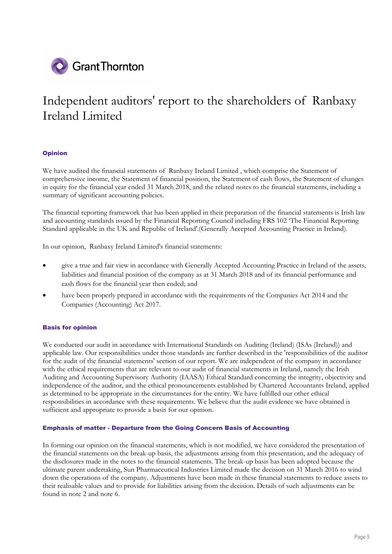

#### **Opinion**

We have audited the financial statements of Ranbaxy Ireland Limited , which comprise the Statement of comprehensive income, the Statement of financial position, the Statement of cash flows, the Statement of changes in equity for the financial year ended 31 March 2018, and the related notes to the financial statements, including a summary of significant accounting policies.

The financial reporting framework that has been applied in their preparation of the financial statements is Irish law and accounting standards issued by the Financial Reporting Council including FRS 102 'The Financial Reporting Standard applicable in the UK and Republic of Ireland'.(Generally Accepted Accounting Practice in Ireland).

In our opinion, Ranbaxy Ireland Limited's financial statements:

- give a true and fair view in accordance with Generally Accepted Accounting Practice in Ireland of the assets, liabilities and financial position of the company as at 31 March 2018 and of its financial performance and cash flows for the financial year then ended; and
- have been properly prepared in accordance with the requirements of the Companies Act 2014 and the Companies (Accounting) Act 2017.

#### **Basis for opinion**

We conducted our audit in accordance with International Standards on Auditing (Ireland) (ISAs (Ireland)) and applicable law. Our responsibilities under those standards are further described in the 'responsibilities of the auditor for the audit of the financial statements' section of our report. We are independent of the company in accordance with the ethical requirements that are relevant to our audit of financial statements in Ireland, namely the Irish Auditing and Accounting Supervisory Authority (IAASA) Ethical Standard concerning the integrity, objectivity and independence of the auditor, and the ethical pronouncements established by Chartered Accountants Ireland, applied as determined to be appropriate in the circumstances for the entity. We have fulfilled our other ethical responsibilities in accordance with these requirements. We believe that the audit evidence we have obtained is sufficient and appropriate to provide a basis for our opinion.

#### **Emphasis of matter - Departure from the Going Concern Basis of Accounting**

In forming our opinion on the financial statements, which is not modified, we have considered the presentation of the financial statements on the break-up basis, the adjustments arising from this presentation, and the adequacy of the disclosures made in the notes to the financial statements. The break-up basis has been adopted because the ultimate parent undertaking, Sun Pharmaceutical Industries Limited made the decision on 31 March 2016 to wind down the operations of the company. Adjustments have been made in these financial statements to reduce assets to their realisable values and to provide for liabilities arising from the decision. Details of such adjustments can be found in note 2 and note 6.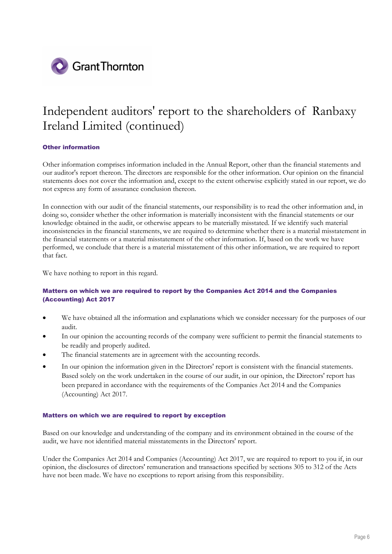

#### **Other information**

Other information comprises information included in the Annual Report, other than the financial statements and our auditor's report thereon. The directors are responsible for the other information. Our opinion on the financial statements does not cover the information and, except to the extent otherwise explicitly stated in our report, we do not express any form of assurance conclusion thereon.

In connection with our audit of the financial statements, our responsibility is to read the other information and, in doing so, consider whether the other information is materially inconsistent with the financial statements or our knowledge obtained in the audit, or otherwise appears to be materially misstated. If we identify such material inconsistencies in the financial statements, we are required to determine whether there is a material misstatement in the financial statements or a material misstatement of the other information. If, based on the work we have performed, we conclude that there is a material misstatement of this other information, we are required to report that fact.

We have nothing to report in this regard.

#### **Matters on which we are required to report by the Companies Act 2014 and the Companies (Accounting) Act 2017**

- We have obtained all the information and explanations which we consider necessary for the purposes of our audit.
- In our opinion the accounting records of the company were sufficient to permit the financial statements to be readily and properly audited.
- The financial statements are in agreement with the accounting records.
- In our opinion the information given in the Directors' report is consistent with the financial statements. Based solely on the work undertaken in the course of our audit, in our opinion, the Directors' report has been prepared in accordance with the requirements of the Companies Act 2014 and the Companies (Accounting) Act 2017.

#### **Matters on which we are required to report by exception**

Based on our knowledge and understanding of the company and its environment obtained in the course of the audit, we have not identified material misstatements in the Directors' report.

Under the Companies Act 2014 and Companies (Accounting) Act 2017, we are required to report to you if, in our opinion, the disclosures of directors' remuneration and transactions specified by sections 305 to 312 of the Acts have not been made. We have no exceptions to report arising from this responsibility.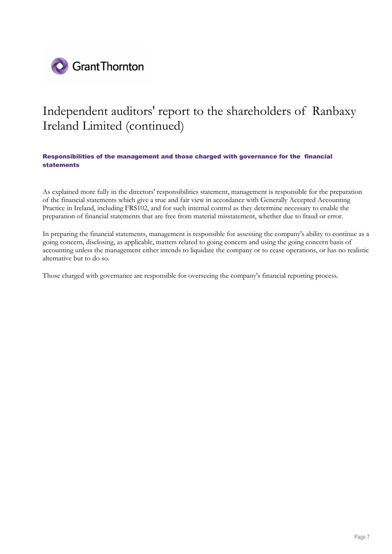

**Responsibilities of the management and those charged with governance for the financial statements**

As explained more fully in the directors' responsibilities statement, management is responsible for the preparation of the financial statements which give a true and fair view in accordance with Generally Accepted Accounting Practice in Ireland, including FRS102, and for such internal control as they determine necessary to enable the preparation of financial statements that are free from material misstatement, whether due to fraud or error.

In preparing the financial statements, management is responsible for assessing the company's ability to continue as a going concern, disclosing, as applicable, matters related to going concern and using the going concern basis of accounting unless the management either intends to liquidate the company or to cease operations, or has no realistic alternative but to do so.

Those charged with governance are responsible for overseeing the company's financial reporting process.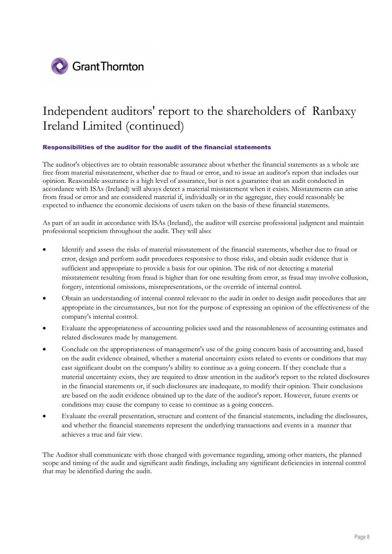

#### **Responsibilities of the auditor for the audit of the financial statements**

The auditor's objectives are to obtain reasonable assurance about whether the financial statements as a whole are free from material misstatement, whether due to fraud or error, and to issue an auditor's report that includes our opinion. Reasonable assurance is a high level of assurance, but is not a guarantee that an audit conducted in accordance with ISAs (Ireland) will always detect a material misstatement when it exists. Misstatements can arise from fraud or error and are considered material if, individually or in the aggregate, they could reasonably be expected to influence the economic decisions of users taken on the basis of these financial statements.

As part of an audit in accordance with ISAs (Ireland), the auditor will exercise professional judgment and maintain professional scepticism throughout the audit. They will also:

- Identify and assess the risks of material misstatement of the financial statements, whether due to fraud or error, design and perform audit procedures responsive to those risks, and obtain audit evidence that is sufficient and appropriate to provide a basis for our opinion. The risk of not detecting a material misstatement resulting from fraud is higher than for one resulting from error, as fraud may involve collusion, forgery, intentional omissions, misrepresentations, or the override of internal control.
- Obtain an understanding of internal control relevant to the audit in order to design audit procedures that are appropriate in the circumstances, but not for the purpose of expressing an opinion of the effectiveness of the company's internal control.
- Evaluate the appropriateness of accounting policies used and the reasonableness of accounting estimates and related disclosures made by management.
- Conclude on the appropriateness of management's use of the going concern basis of accounting and, based on the audit evidence obtained, whether a material uncertainty exists related to events or conditions that may cast significant doubt on the company's ability to continue as a going concern. If they conclude that a material uncertainty exists, they are required to draw attention in the auditor's report to the related disclosures in the financial statements or, if such disclosures are inadequate, to modify their opinion. Their conclusions are based on the audit evidence obtained up to the date of the auditor's report. However, future events or conditions may cause the company to cease to continue as a going concern.
- Evaluate the overall presentation, structure and content of the financial statements, including the disclosures, and whether the financial statements represent the underlying transactions and events in a manner that achieves a true and fair view.

The Auditor shall communicate with those charged with governance regarding, among other matters, the planned scope and timing of the audit and significant audit findings, including any significant deficiencies in internal control that may be identified during the audit.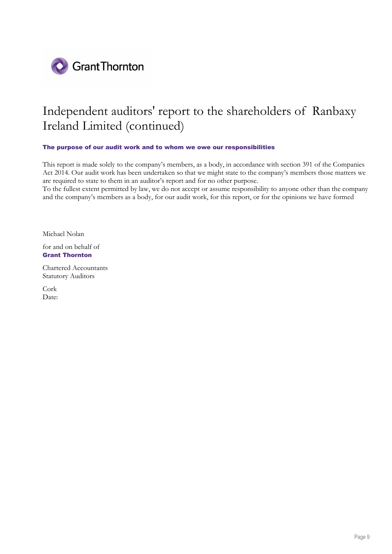

#### **The purpose of our audit work and to whom we owe our responsibilities**

This report is made solely to the company's members, as a body, in accordance with section 391 of the Companies Act 2014. Our audit work has been undertaken so that we might state to the company's members those matters we are required to state to them in an auditor's report and for no other purpose.

To the fullest extent permitted by law, we do not accept or assume responsibility to anyone other than the company and the company's members as a body, for our audit work, for this report, or for the opinions we have formed

Michael Nolan

for and on behalf of **Grant Thornton**

Chartered Accountants Statutory Auditors

Cork Date: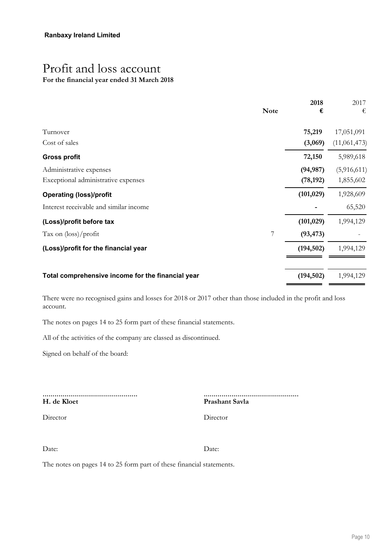## Profit and loss account

#### **For the financial year ended 31 March 2018**

|                                                   |             | 2018       | 2017         |
|---------------------------------------------------|-------------|------------|--------------|
|                                                   | <b>Note</b> | €          | €            |
| Turnover                                          |             | 75,219     | 17,051,091   |
| Cost of sales                                     |             | (3,069)    | (11,061,473) |
| <b>Gross profit</b>                               |             | 72,150     | 5,989,618    |
| Administrative expenses                           |             | (94, 987)  | (5,916,611)  |
| Exceptional administrative expenses               |             | (78, 192)  | 1,855,602    |
| <b>Operating (loss)/profit</b>                    |             | (101, 029) | 1,928,609    |
| Interest receivable and similar income            |             |            | 65,520       |
| (Loss)/profit before tax                          |             | (101, 029) | 1,994,129    |
| Tax on $(\text{loss})$ /profit                    | 7           | (93, 473)  |              |
| (Loss)/profit for the financial year              |             | (194, 502) | 1,994,129    |
| Total comprehensive income for the financial year |             | (194, 502) | 1,994,129    |

There were no recognised gains and losses for 2018 or 2017 other than those included in the profit and loss account.

The notes on pages 14 to 25 form part of these financial statements.

All of the activities of the company are classed as discontinued.

Signed on behalf of the board:

................................................ **H. de Kloet**

................................................ **Prashant Savla**

Director Director

Date: Date:

The notes on pages 14 to 25 form part of these financial statements.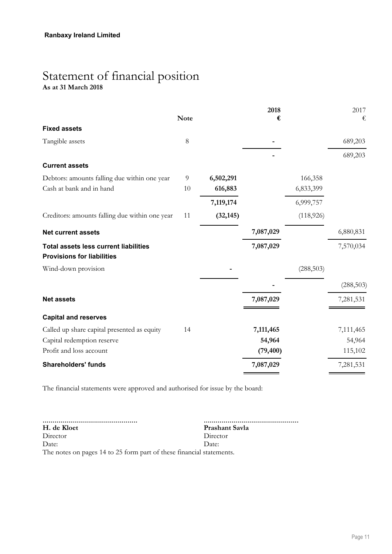### Statement of financial position **As at 31 March 2018**

|                                                |             |           | 2018      |            | 2017       |
|------------------------------------------------|-------------|-----------|-----------|------------|------------|
|                                                | <b>Note</b> |           | €         |            | €          |
| <b>Fixed assets</b>                            |             |           |           |            |            |
| Tangible assets                                | $8\,$       |           |           |            | 689,203    |
|                                                |             |           |           |            | 689,203    |
| <b>Current assets</b>                          |             |           |           |            |            |
| Debtors: amounts falling due within one year   | 9           | 6,502,291 |           | 166,358    |            |
| Cash at bank and in hand                       | 10          | 616,883   |           | 6,833,399  |            |
|                                                |             | 7,119,174 |           | 6,999,757  |            |
| Creditors: amounts falling due within one year | 11          | (32, 145) |           | (118, 926) |            |
| <b>Net current assets</b>                      |             |           | 7,087,029 |            | 6,880,831  |
| <b>Total assets less current liabilities</b>   |             |           | 7,087,029 |            | 7,570,034  |
| <b>Provisions for liabilities</b>              |             |           |           |            |            |
| Wind-down provision                            |             |           |           | (288, 503) |            |
|                                                |             |           |           |            | (288, 503) |
| <b>Net assets</b>                              |             |           | 7,087,029 |            | 7,281,531  |
| <b>Capital and reserves</b>                    |             |           |           |            |            |
| Called up share capital presented as equity    | 14          |           | 7,111,465 |            | 7,111,465  |
| Capital redemption reserve                     |             |           | 54,964    |            | 54,964     |
| Profit and loss account                        |             |           | (79, 400) |            | 115,102    |
| <b>Shareholders' funds</b>                     |             |           | 7,087,029 |            | 7,281,531  |

The financial statements were approved and authorised for issue by the board:

| H. de Kloet                                                          | Prashant Sayla |
|----------------------------------------------------------------------|----------------|
| Director                                                             | Director       |
| Date:                                                                | $\Gamma$ ater  |
| The notes on pages 14 to 25 form part of these financial statements. |                |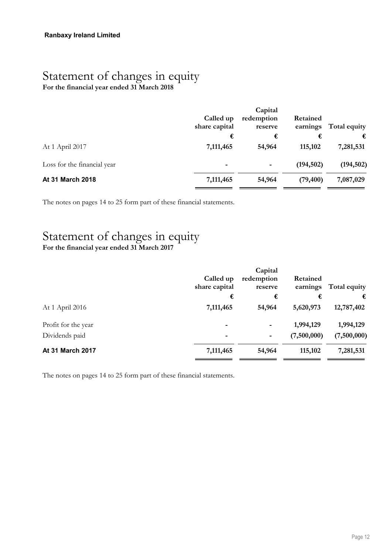## Statement of changes in equity

**For the financial year ended 31 March 2018**

|                             | Called up<br>share capital<br>€ | Capital<br>redemption<br>reserve<br>€ | Retained<br>earnings<br>€ | Total equity<br>€. |
|-----------------------------|---------------------------------|---------------------------------------|---------------------------|--------------------|
| At 1 April 2017             | 7,111,465                       | 54,964                                | 115,102                   | 7,281,531          |
| Loss for the financial year | $\blacksquare$                  | $\overline{\phantom{a}}$              | (194, 502)                | (194, 502)         |
| <b>At 31 March 2018</b>     | 7,111,465                       | 54,964                                | (79, 400)                 | 7,087,029          |

The notes on pages 14 to 25 form part of these financial statements.

## Statement of changes in equity

**For the financial year ended 31 March 2017**

|                                       | Called up<br>share capital<br>€                      | Capital<br>redemption<br>reserve<br>€                    | Retained<br>earnings<br>€ | Total equity<br>€        |
|---------------------------------------|------------------------------------------------------|----------------------------------------------------------|---------------------------|--------------------------|
| At 1 April 2016                       | 7,111,465                                            | 54,964                                                   | 5,620,973                 | 12,787,402               |
| Profit for the year<br>Dividends paid | $\overline{\phantom{a}}$<br>$\overline{\phantom{a}}$ | $\overline{\phantom{0}}$<br>$\qquad \qquad \blacksquare$ | 1,994,129<br>(7,500,000)  | 1,994,129<br>(7,500,000) |
| <b>At 31 March 2017</b>               | 7,111,465                                            | 54,964                                                   | 115,102                   | 7,281,531                |

The notes on pages 14 to 25 form part of these financial statements.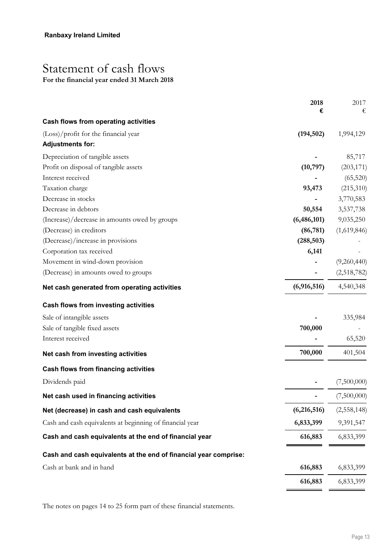## Statement of cash flows

### **For the financial year ended 31 March 2018**

|                                                                  | 2018<br>€   | 2017<br>€   |
|------------------------------------------------------------------|-------------|-------------|
| Cash flows from operating activities                             |             |             |
| (Loss)/profit for the financial year                             | (194, 502)  | 1,994,129   |
| <b>Adjustments for:</b>                                          |             |             |
| Depreciation of tangible assets                                  |             | 85,717      |
| Profit on disposal of tangible assets                            | (10,797)    | (203, 171)  |
| Interest received                                                |             | (65, 520)   |
| Taxation charge                                                  | 93,473      | (215,310)   |
| Decrease in stocks                                               |             | 3,770,583   |
| Decrease in debtors                                              | 50,554      | 3,537,738   |
| (Increase)/decrease in amounts owed by groups                    | (6,486,101) | 9,035,250   |
| (Decrease) in creditors                                          | (86, 781)   | (1,619,846) |
| (Decrease)/increase in provisions                                | (288, 503)  |             |
| Corporation tax received                                         | 6,141       |             |
| Movement in wind-down provision                                  |             | (9,260,440) |
| (Decrease) in amounts owed to groups                             |             | (2,518,782) |
| Net cash generated from operating activities                     | (6,916,516) | 4,540,348   |
| Cash flows from investing activities                             |             |             |
| Sale of intangible assets                                        |             | 335,984     |
| Sale of tangible fixed assets                                    | 700,000     |             |
| Interest received                                                |             | 65,520      |
| Net cash from investing activities                               | 700,000     | 401,504     |
| <b>Cash flows from financing activities</b>                      |             |             |
| Dividends paid                                                   |             | (7,500,000) |
| Net cash used in financing activities                            |             | (7,500,000) |
| Net (decrease) in cash and cash equivalents                      | (6,216,516) | (2,558,148) |
| Cash and cash equivalents at beginning of financial year         | 6,833,399   | 9,391,547   |
| Cash and cash equivalents at the end of financial year           | 616,883     | 6,833,399   |
| Cash and cash equivalents at the end of financial year comprise: |             |             |
| Cash at bank and in hand                                         | 616,883     | 6,833,399   |
|                                                                  | 616,883     | 6,833,399   |
|                                                                  |             |             |

The notes on pages 14 to 25 form part of these financial statements.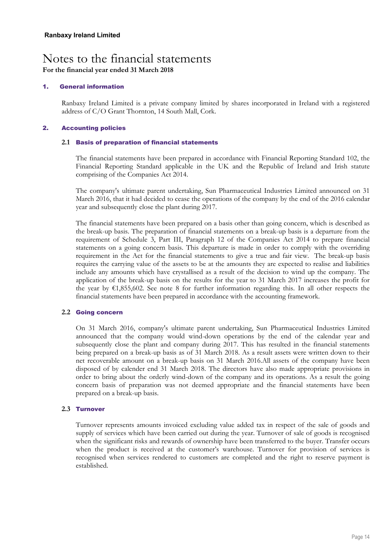#### **1. General information**

Ranbaxy Ireland Limited is a private company limited by shares incorporated in Ireland with a registered address of C/O Grant Thornton, 14 South Mall, Cork.

#### **2. Accounting policies**

#### **2.1 Basis of preparation of financial statements**

The financial statements have been prepared in accordance with Financial Reporting Standard 102, the Financial Reporting Standard applicable in the UK and the Republic of Ireland and Irish statute comprising of the Companies Act 2014.

The company's ultimate parent undertaking, Sun Pharmaceutical Industries Limited announced on 31 March 2016, that it had decided to cease the operations of the company by the end of the 2016 calendar year and subsequently close the plant during 2017.

The financial statements have been prepared on a basis other than going concern, which is described as the break-up basis. The preparation of financial statements on a break-up basis is a departure from the requirement of Schedule 3, Part III, Paragraph 12 of the Companies Act 2014 to prepare financial statements on a going concern basis. This departure is made in order to comply with the overriding requirement in the Act for the financial statements to give a true and fair view. The break-up basis requires the carrying value of the assets to be at the amounts they are expected to realise and liabilities include any amounts which have crystallised as a result of the decision to wind up the company. The application of the break-up basis on the results for the year to 31 March 2017 increases the profit for the year by €1,855,602. See note 8 for further information regarding this. In all other respects the financial statements have been prepared in accordance with the accounting framework.

#### **2.2 Going concern**

On 31 March 2016, company's ultimate parent undertaking, Sun Pharmaceutical Industries Limited announced that the company would wind-down operations by the end of the calendar year and subsequently close the plant and company during 2017. This has resulted in the financial statements being prepared on a break-up basis as of 31 March 2018. As a result assets were written down to their net recoverable amount on a break-up basis on 31 March 2016.All assets of the company have been disposed of by calender end 31 March 2018. The directors have also made appropriate provisions in order to bring about the orderly wind-down of the company and its operations. As a result the going concern basis of preparation was not deemed appropriate and the financial statements have been prepared on a break-up basis.

#### **2.3 Turnover**

Turnover represents amounts invoiced excluding value added tax in respect of the sale of goods and supply of services which have been carried out during the year. Turnover of sale of goods is recognised when the significant risks and rewards of ownership have been transferred to the buyer. Transfer occurs when the product is received at the customer's warehouse. Turnover for provision of services is recognised when services rendered to customers are completed and the right to reserve payment is established.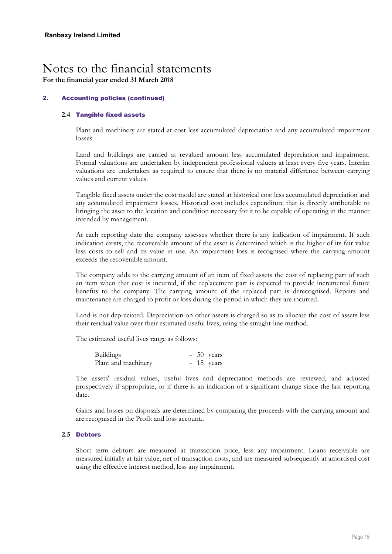#### **2. Accounting policies (continued)**

#### **2.4 Tangible fixed assets**

Plant and machinery are stated at cost less accumulated depreciation and any accumulated impairment losses.

Land and buildings are carried at revalued amount less accumulated depreciation and impairment. Formal valuations are undertaken by independent professional valuers at least every five years. Interim valuations are undertaken as required to ensure that there is no material difference between carrying values and current values.

Tangible fixed assets under the cost model are stated at historical cost less accumulated depreciation and any accumulated impairment losses. Historical cost includes expenditure that is directly attributable to bringing the asset to the location and condition necessary for it to be capable of operating in the manner intended by management.

At each reporting date the company assesses whether there is any indication of impairment. If such indication exists, the recoverable amount of the asset is determined which is the higher of its fair value less costs to sell and its value in use. An impairment loss is recognised where the carrying amount exceeds the recoverable amount.

The company adds to the carrying amount of an item of fixed assets the cost of replacing part of such an item when that cost is incurred, if the replacement part is expected to provide incremental future benefits to the company. The carrying amount of the replaced part is derecognised. Repairs and maintenance are charged to profit or loss during the period in which they are incurred.

Land is not depreciated. Depreciation on other assets is charged so as to allocate the cost of assets less their residual value over their estimated useful lives, using the straight-line method.

The estimated useful lives range as follows:

| <b>Buildings</b>    |  | 50 years |
|---------------------|--|----------|
| Plant and machinery |  | 15 years |

The assets' residual values, useful lives and depreciation methods are reviewed, and adjusted prospectively if appropriate, or if there is an indication of a significant change since the last reporting date.

Gains and losses on disposals are determined by comparing the proceeds with the carrying amount and are recognised in the Profit and loss account..

#### **2.5 Debtors**

Short term debtors are measured at transaction price, less any impairment. Loans receivable are measured initially at fair value, net of transaction costs, and are measured subsequently at amortised cost using the effective interest method, less any impairment.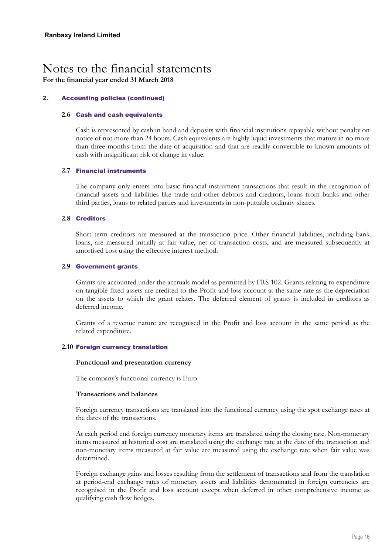#### **2. Accounting policies (continued)**

#### **2.6 Cash and cash equivalents**

Cash is represented by cash in hand and deposits with financial institutions repayable without penalty on notice of not more than 24 hours. Cash equivalents are highly liquid investments that mature in no more than three months from the date of acquisition and that are readily convertible to known amounts of cash with insignificant risk of change in value.

#### **2.7 Financial instruments**

The company only enters into basic financial instrument transactions that result in the recognition of financial assets and liabilities like trade and other debtors and creditors, loans from banks and other third parties, loans to related parties and investments in non-puttable ordinary shares.

#### **2.8 Creditors**

Short term creditors are measured at the transaction price. Other financial liabilities, including bank loans, are measured initially at fair value, net of transaction costs, and are measured subsequently at amortised cost using the effective interest method.

#### **2.9 Government grants**

Grants are accounted under the accruals model as permitted by FRS 102. Grants relating to expenditure on tangible fixed assets are credited to the Profit and loss account at the same rate as the depreciation on the assets to which the grant relates. The deferred element of grants is included in creditors as deferred income.

Grants of a revenue nature are recognised in the Profit and loss account in the same period as the related expenditure.

#### **2.10 Foreign currency translation**

#### **Functional and presentation currency**

The company's functional currency is Euro.

#### **Transactions and balances**

Foreign currency transactions are translated into the functional currency using the spot exchange rates at the dates of the transactions.

At each period end foreign currency monetary items are translated using the closing rate. Non-monetary items measured at historical cost are translated using the exchange rate at the date of the transaction and non-monetary items measured at fair value are measured using the exchange rate when fair value was determined.

Foreign exchange gains and losses resulting from the settlement of transactions and from the translation at period-end exchange rates of monetary assets and liabilities denominated in foreign currencies are recognised in the Profit and loss account except when deferred in other comprehensive income as qualifying cash flow hedges.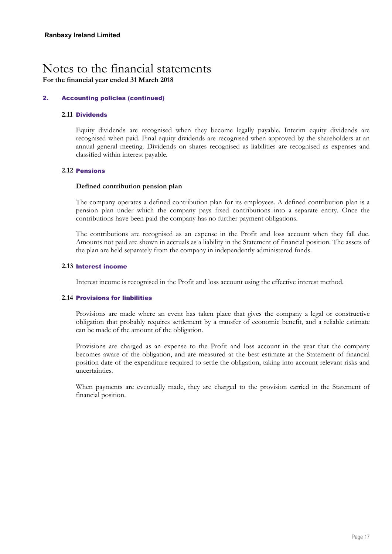#### **2. Accounting policies (continued)**

#### **2.11 Dividends**

Equity dividends are recognised when they become legally payable. Interim equity dividends are recognised when paid. Final equity dividends are recognised when approved by the shareholders at an annual general meeting. Dividends on shares recognised as liabilities are recognised as expenses and classified within interest payable.

#### **2.12 Pensions**

#### **Defined contribution pension plan**

The company operates a defined contribution plan for its employees. A defined contribution plan is a pension plan under which the company pays fixed contributions into a separate entity. Once the contributions have been paid the company has no further payment obligations.

The contributions are recognised as an expense in the Profit and loss account when they fall due. Amounts not paid are shown in accruals as a liability in the Statement of financial position. The assets of the plan are held separately from the company in independently administered funds.

#### **2.13 Interest income**

Interest income is recognised in the Profit and loss account using the effective interest method.

#### **2.14 Provisions for liabilities**

Provisions are made where an event has taken place that gives the company a legal or constructive obligation that probably requires settlement by a transfer of economic benefit, and a reliable estimate can be made of the amount of the obligation.

Provisions are charged as an expense to the Profit and loss account in the year that the company becomes aware of the obligation, and are measured at the best estimate at the Statement of financial position date of the expenditure required to settle the obligation, taking into account relevant risks and uncertainties.

When payments are eventually made, they are charged to the provision carried in the Statement of financial position.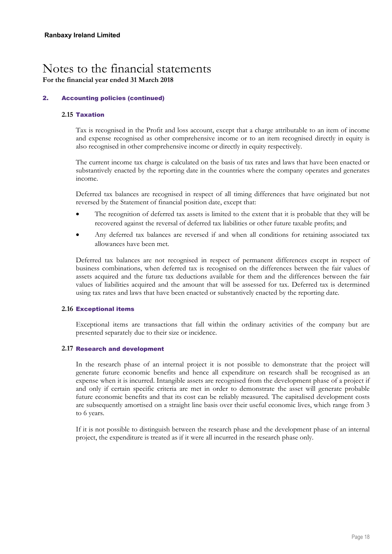#### **2. Accounting policies (continued)**

#### **2.15 Taxation**

Tax is recognised in the Profit and loss account, except that a charge attributable to an item of income and expense recognised as other comprehensive income or to an item recognised directly in equity is also recognised in other comprehensive income or directly in equity respectively.

The current income tax charge is calculated on the basis of tax rates and laws that have been enacted or substantively enacted by the reporting date in the countries where the company operates and generates income.

Deferred tax balances are recognised in respect of all timing differences that have originated but not reversed by the Statement of financial position date, except that:

- The recognition of deferred tax assets is limited to the extent that it is probable that they will be recovered against the reversal of deferred tax liabilities or other future taxable profits; and
- Any deferred tax balances are reversed if and when all conditions for retaining associated tax allowances have been met.

Deferred tax balances are not recognised in respect of permanent differences except in respect of business combinations, when deferred tax is recognised on the differences between the fair values of assets acquired and the future tax deductions available for them and the differences between the fair values of liabilities acquired and the amount that will be assessed for tax. Deferred tax is determined using tax rates and laws that have been enacted or substantively enacted by the reporting date.

#### **2.16 Exceptional items**

Exceptional items are transactions that fall within the ordinary activities of the company but are presented separately due to their size or incidence.

#### **2.17 Research and development**

In the research phase of an internal project it is not possible to demonstrate that the project will generate future economic benefits and hence all expenditure on research shall be recognised as an expense when it is incurred. Intangible assets are recognised from the development phase of a project if and only if certain specific criteria are met in order to demonstrate the asset will generate probable future economic benefits and that its cost can be reliably measured. The capitalised development costs are subsequently amortised on a straight line basis over their useful economic lives, which range from 3 to 6 years.

If it is not possible to distinguish between the research phase and the development phase of an internal project, the expenditure is treated as if it were all incurred in the research phase only.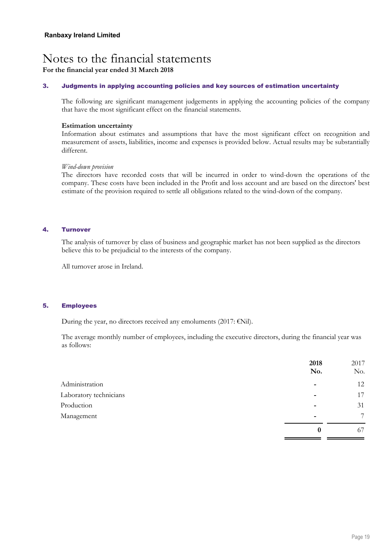## Notes to the financial statements

**For the financial year ended 31 March 2018**

#### **3. Judgments in applying accounting policies and key sources of estimation uncertainty**

The following are significant management judgements in applying the accounting policies of the company that have the most significant effect on the financial statements.

#### **Estimation uncertainty**

Information about estimates and assumptions that have the most significant effect on recognition and measurement of assets, liabilities, income and expenses is provided below. Actual results may be substantially different.

#### *Wind-down provision*

The directors have recorded costs that will be incurred in order to wind-down the operations of the company. These costs have been included in the Profit and loss account and are based on the directors' best estimate of the provision required to settle all obligations related to the wind-down of the company.

#### **4. Turnover**

The analysis of turnover by class of business and geographic market has not been supplied as the directors believe this to be prejudicial to the interests of the company.

All turnover arose in Ireland.

#### **5. Employees**

During the year, no directors received any emoluments (2017:  $\epsilon$ Nil).

The average monthly number of employees, including the executive directors, during the financial year was as follows:

|                        | 2018<br>No.              | 2017<br>No.    |
|------------------------|--------------------------|----------------|
| Administration         | $\overline{\phantom{0}}$ | 12             |
| Laboratory technicians |                          | 17             |
| Production             |                          | 31             |
| Management             |                          | $\overline{7}$ |
|                        | $\boldsymbol{0}$         | 67             |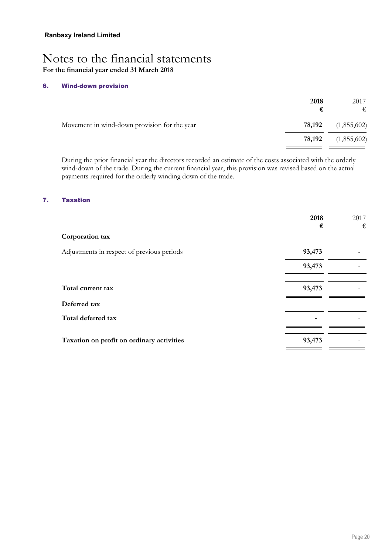#### **6. Wind-down provision**

|                                              | 2018<br>€ | 2017<br>€                   |
|----------------------------------------------|-----------|-----------------------------|
| Movement in wind-down provision for the year |           | <b>78,192</b> $(1,855,602)$ |
|                                              |           | <b>78,192</b> $(1,855,602)$ |

During the prior financial year the directors recorded an estimate of the costs associated with the orderly wind-down of the trade. During the current financial year, this provision was revised based on the actual payments required for the orderly winding down of the trade.

#### **7. Taxation**

|                                            | 2018<br>€ | 2017<br>€ |
|--------------------------------------------|-----------|-----------|
| Corporation tax                            |           |           |
| Adjustments in respect of previous periods | 93,473    |           |
|                                            | 93,473    |           |
| Total current tax                          | 93,473    |           |
| Deferred tax                               |           |           |
| Total deferred tax                         |           |           |
| Taxation on profit on ordinary activities  | 93,473    |           |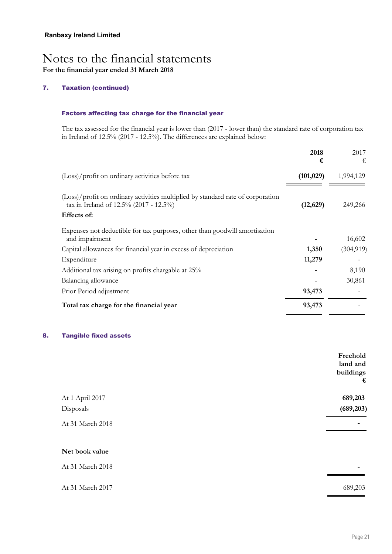#### **7. Taxation (continued)**

#### **Factors affecting tax charge for the financial year**

The tax assessed for the financial year is lower than (2017 - lower than) the standard rate of corporation tax in Ireland of 12.5% (2017 - 12.5%). The differences are explained below:

|                                                                                                                           | 2018<br>€  | 2017<br>€  |
|---------------------------------------------------------------------------------------------------------------------------|------------|------------|
| (Loss)/profit on ordinary activities before tax                                                                           | (101, 029) | 1,994,129  |
| (Loss)/profit on ordinary activities multiplied by standard rate of corporation<br>tax in Ireland of 12.5% (2017 - 12.5%) | (12, 629)  | 249,266    |
| Effects of:                                                                                                               |            |            |
| Expenses not deductible for tax purposes, other than goodwill amortisation<br>and impairment                              |            | 16,602     |
| Capital allowances for financial year in excess of depreciation                                                           | 1,350      | (304, 919) |
| Expenditure                                                                                                               | 11,279     |            |
| Additional tax arising on profits chargable at 25%                                                                        |            | 8,190      |
| Balancing allowance                                                                                                       |            | 30,861     |
| Prior Period adjustment                                                                                                   | 93,473     |            |
| Total tax charge for the financial year                                                                                   | 93,473     |            |

#### **8. Tangible fixed assets**

|                  | Freehold<br>land and<br>buildings<br>€ |
|------------------|----------------------------------------|
| At 1 April 2017  | 689,203                                |
| Disposals        | (689, 203)                             |
| At 31 March 2018 |                                        |
| Net book value   |                                        |
| At 31 March 2018 |                                        |
| At 31 March 2017 | 689,203                                |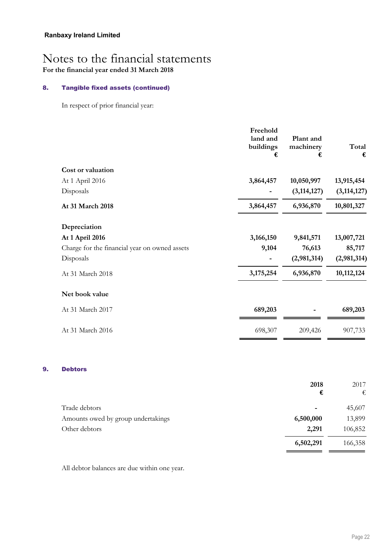#### **8. Tangible fixed assets (continued)**

In respect of prior financial year:

|                                               | Freehold<br>land and<br>buildings<br>€ | Plant and<br>machinery<br>€ | Total<br>$\epsilon$ |
|-----------------------------------------------|----------------------------------------|-----------------------------|---------------------|
| Cost or valuation                             |                                        |                             |                     |
| At 1 April 2016                               | 3,864,457                              | 10,050,997                  | 13,915,454          |
| Disposals                                     |                                        | (3, 114, 127)               | (3, 114, 127)       |
| At 31 March 2018                              | 3,864,457                              | 6,936,870                   | 10,801,327          |
| Depreciation                                  |                                        |                             |                     |
| At 1 April 2016                               | 3,166,150                              | 9,841,571                   | 13,007,721          |
| Charge for the financial year on owned assets | 9,104                                  | 76,613                      | 85,717              |
| Disposals                                     |                                        | (2,981,314)                 | (2,981,314)         |
| At 31 March 2018                              | 3,175,254                              | 6,936,870                   | 10,112,124          |
| Net book value                                |                                        |                             |                     |
| At 31 March 2017                              | 689,203                                |                             | 689,203             |
| At 31 March 2016                              | 698,307                                | 209,426                     | 907,733             |
|                                               |                                        |                             |                     |
| <b>Debtors</b>                                |                                        |                             |                     |

|                                    | 2018<br>€                | 2017<br>€ |
|------------------------------------|--------------------------|-----------|
| Trade debtors                      | $\overline{\phantom{a}}$ | 45,607    |
| Amounts owed by group undertakings | 6,500,000                | 13,899    |
| Other debtors                      | 2,291                    | 106,852   |
|                                    | 6,502,291                | 166,358   |
|                                    |                          |           |

All debtor balances are due within one year.

**9. Debtors**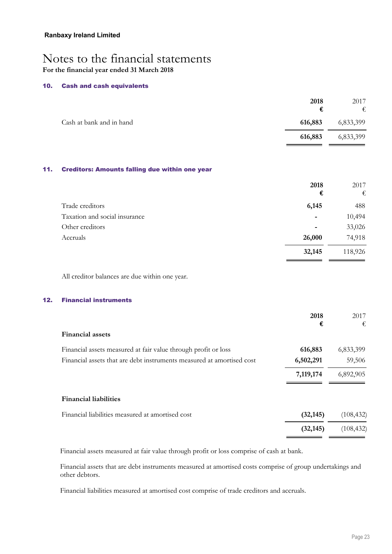#### **10. Cash and cash equivalents**

|                          | 2018<br>€ | 2017<br>€ |
|--------------------------|-----------|-----------|
| Cash at bank and in hand | 616,883   | 6,833,399 |
|                          | 616,883   | 6,833,399 |
|                          |           |           |

#### **11. Creditors: Amounts falling due within one year**

|                               | 2018<br>€                | 2017<br>€ |
|-------------------------------|--------------------------|-----------|
| Trade creditors               | 6,145                    | 488       |
| Taxation and social insurance | $\overline{\phantom{a}}$ | 10,494    |
| Other creditors               | $\,$                     | 33,026    |
| Accruals                      | 26,000                   | 74,918    |
|                               | 32,145                   | 118,926   |

All creditor balances are due within one year.

#### **12. Financial instruments**

|                                                                       | 2018      | 2017       |
|-----------------------------------------------------------------------|-----------|------------|
| <b>Financial assets</b>                                               | €         | €          |
| Financial assets measured at fair value through profit or loss        | 616,883   | 6,833,399  |
| Financial assets that are debt instruments measured at amortised cost | 6,502,291 | 59,506     |
|                                                                       | 7,119,174 | 6,892,905  |
| <b>Financial liabilities</b>                                          |           |            |
| Financial liabilities measured at amortised cost                      | (32, 145) | (108, 432) |
|                                                                       | (32, 145) | (108, 432) |

Financial assets measured at fair value through profit or loss comprise of cash at bank.

Financial assets that are debt instruments measured at amortised costs comprise of group undertakings and other debtors.

Financial liabilities measured at amortised cost comprise of trade creditors and accruals.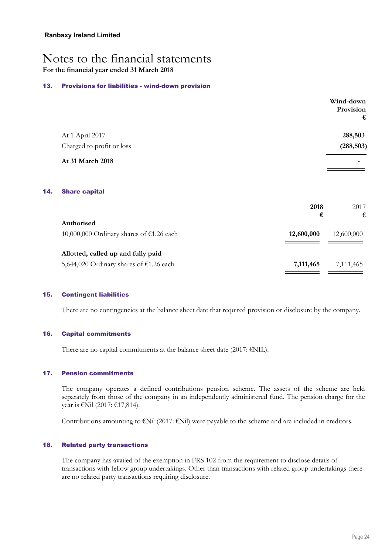#### **13. Provisions for liabilities - wind-down provision**

|                                          |            | Wind-down<br>Provision<br>€ |
|------------------------------------------|------------|-----------------------------|
| At 1 April 2017                          |            | 288,503                     |
| Charged to profit or loss                |            | (288, 503)                  |
| At 31 March 2018                         |            |                             |
| <b>Share capital</b>                     |            |                             |
|                                          | 2018       | 2017                        |
| Authorised                               | €          | €                           |
| 10,000,000 Ordinary shares of €1.26 each | 12,600,000 | 12,600,000                  |
| Allotted, called up and fully paid       |            |                             |

## 5,644,020 Ordinary shares of €1.26 each **7,111,465** 7,111,465

#### **15. Contingent liabilities**

**14. Share capital**

There are no contingencies at the balance sheet date that required provision or disclosure by the company.

#### **16. Capital commitments**

There are no capital commitments at the balance sheet date (2017:  $\epsilon$ NIL).

#### **17. Pension commitments**

The company operates a defined contributions pension scheme. The assets of the scheme are held separately from those of the company in an independently administered fund. The pension charge for the year is €Nil (2017: €17,814).

Contributions amounting to  $\in$ Nil (2017:  $\in$ Nil) were payable to the scheme and are included in creditors.

#### **18. Related party transactions**

The company has availed of the exemption in FRS 102 from the requirement to disclose details of transactions with fellow group undertakings. Other than transactions with related group undertakings there are no related party transactions requiring disclosure.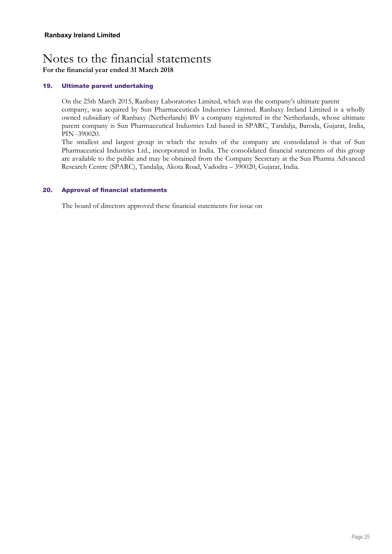#### **19. Ultimate parent undertaking**

On the 25th March 2015, Ranbaxy Laboratories Limited, which was the company's ultimate parent company, was acquired by Sun Pharmaceuticals Industries Limited. Ranbaxy Ireland Limited is a wholly owned subsidiary of Ranbaxy (Netherlands) BV a company registered in the Netherlands, whose ultimate parent company is Sun Pharmaceutical Industries Ltd based in SPARC, Tandalja, Baroda, Gujarat, India, PIN -390020.

The smallest and largest group in which the results of the company are consolidated is that of Sun Pharmaceutical Industries Ltd., incorporated in India. The consolidated financial statements of this group are available to the public and may be obtained from the Company Secretary at the Sun Pharma Advanced Research Centre (SPARC), Tandalja, Akota Road, Vadodra – 390020, Gujarat, India.

#### **20. Approval of financial statements**

The board of directors approved these financial statements for issue on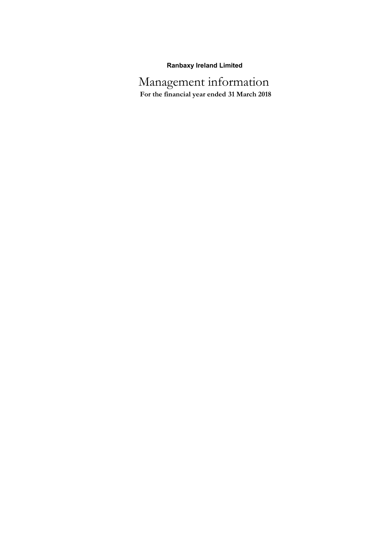### **Ranbaxy Ireland Limited**

Management information **For the financial year ended 31 March 2018**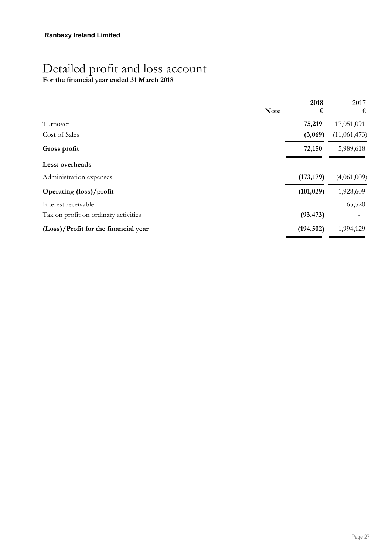## Detailed profit and loss account

|                                      | <b>Note</b> | 2018<br>€  | 2017<br>€    |
|--------------------------------------|-------------|------------|--------------|
| Turnover                             |             | 75,219     | 17,051,091   |
| Cost of Sales                        |             | (3,069)    | (11,061,473) |
| Gross profit                         |             | 72,150     | 5,989,618    |
| Less: overheads                      |             |            |              |
| Administration expenses              |             | (173, 179) | (4,061,009)  |
| <b>Operating (loss)/profit</b>       |             | (101, 029) | 1,928,609    |
| Interest receivable                  |             |            | 65,520       |
| Tax on profit on ordinary activities |             | (93, 473)  |              |
| (Loss)/Profit for the financial year |             | (194, 502) | 1,994,129    |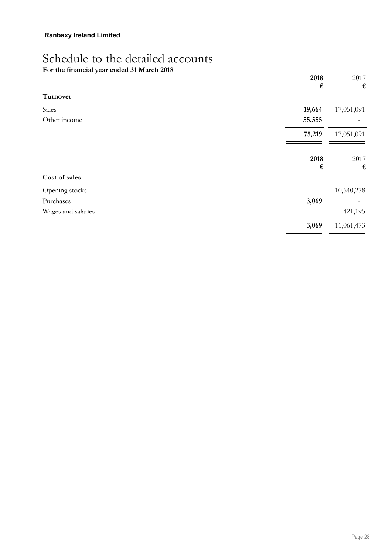## Schedule to the detailed accounts

|                    | 2018   | 2017       |
|--------------------|--------|------------|
|                    | €      | €          |
| Turnover           |        |            |
| Sales              | 19,664 | 17,051,091 |
| Other income       | 55,555 |            |
|                    | 75,219 | 17,051,091 |
|                    | 2018   | 2017       |
| Cost of sales      | €      | $\epsilon$ |
| Opening stocks     |        | 10,640,278 |
| Purchases          | 3,069  |            |
| Wages and salaries |        | 421,195    |
|                    | 3,069  | 11,061,473 |
|                    |        |            |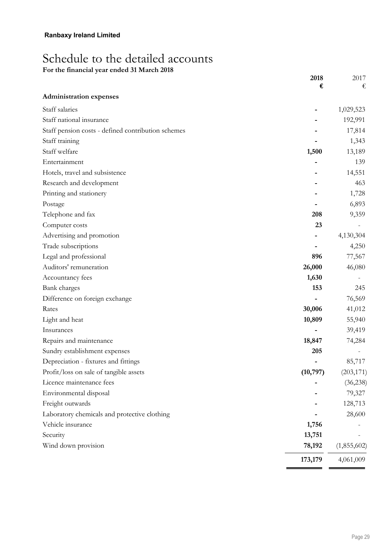## Schedule to the detailed accounts

|                                                    | 2018     | 2017        |
|----------------------------------------------------|----------|-------------|
|                                                    | €        | €           |
| <b>Administration expenses</b>                     |          |             |
| Staff salaries                                     |          | 1,029,523   |
| Staff national insurance                           |          | 192,991     |
| Staff pension costs - defined contribution schemes |          | 17,814      |
| Staff training                                     |          | 1,343       |
| Staff welfare                                      | 1,500    | 13,189      |
| Entertainment                                      |          | 139         |
| Hotels, travel and subsistence                     |          | 14,551      |
| Research and development                           |          | 463         |
| Printing and stationery                            |          | 1,728       |
| Postage                                            |          | 6,893       |
| Telephone and fax                                  | 208      | 9,359       |
| Computer costs                                     | 23       |             |
| Advertising and promotion                          | -        | 4,130,304   |
| Trade subscriptions                                |          | 4,250       |
| Legal and professional                             | 896      | 77,567      |
| Auditors' remuneration                             | 26,000   | 46,080      |
| Accountancy fees                                   | 1,630    |             |
| Bank charges                                       | 153      | 245         |
| Difference on foreign exchange                     |          | 76,569      |
| Rates                                              | 30,006   | 41,012      |
| Light and heat                                     | 10,809   | 55,940      |
| Insurances                                         |          | 39,419      |
| Repairs and maintenance                            | 18,847   | 74,284      |
| Sundry establishment expenses                      | 205      |             |
| Depreciation - fixtures and fittings               |          | 85,717      |
| Profit/loss on sale of tangible assets             | (10,797) | (203, 171)  |
| Licence maintenance fees                           |          | (36, 238)   |
| Environmental disposal                             |          | 79,327      |
| Freight outwards                                   |          | 128,713     |
| Laboratory chemicals and protective clothing       |          | 28,600      |
| Vehicle insurance                                  | 1,756    |             |
| Security                                           | 13,751   |             |
| Wind down provision                                | 78,192   | (1,855,602) |
|                                                    | 173,179  | 4,061,009   |